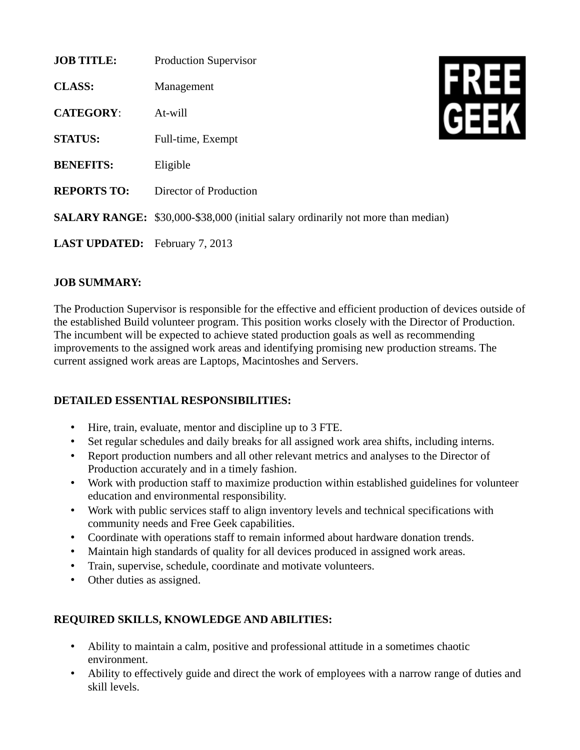| <b>JOB TITLE:</b>                     | <b>Production Supervisor</b>                                                            |  |
|---------------------------------------|-----------------------------------------------------------------------------------------|--|
| <b>CLASS:</b>                         | Management                                                                              |  |
| <b>CATEGORY:</b>                      | At-will                                                                                 |  |
| <b>STATUS:</b>                        | Full-time, Exempt                                                                       |  |
| <b>BENEFITS:</b>                      | Eligible                                                                                |  |
| <b>REPORTS TO:</b>                    | Director of Production                                                                  |  |
|                                       | <b>SALARY RANGE:</b> \$30,000-\$38,000 (initial salary ordinarily not more than median) |  |
| <b>LAST UPDATED:</b> February 7, 2013 |                                                                                         |  |

## **JOB SUMMARY:**

The Production Supervisor is responsible for the effective and efficient production of devices outside of the established Build volunteer program. This position works closely with the Director of Production. The incumbent will be expected to achieve stated production goals as well as recommending improvements to the assigned work areas and identifying promising new production streams. The current assigned work areas are Laptops, Macintoshes and Servers.

## **DETAILED ESSENTIAL RESPONSIBILITIES:**

- Hire, train, evaluate, mentor and discipline up to 3 FTE.
- Set regular schedules and daily breaks for all assigned work area shifts, including interns.
- Report production numbers and all other relevant metrics and analyses to the Director of Production accurately and in a timely fashion.
- Work with production staff to maximize production within established guidelines for volunteer education and environmental responsibility.
- Work with public services staff to align inventory levels and technical specifications with community needs and Free Geek capabilities.
- Coordinate with operations staff to remain informed about hardware donation trends.
- Maintain high standards of quality for all devices produced in assigned work areas.
- Train, supervise, schedule, coordinate and motivate volunteers.
- Other duties as assigned.

## **REQUIRED SKILLS, KNOWLEDGE AND ABILITIES:**

- Ability to maintain a calm, positive and professional attitude in a sometimes chaotic environment.
- Ability to effectively guide and direct the work of employees with a narrow range of duties and skill levels.